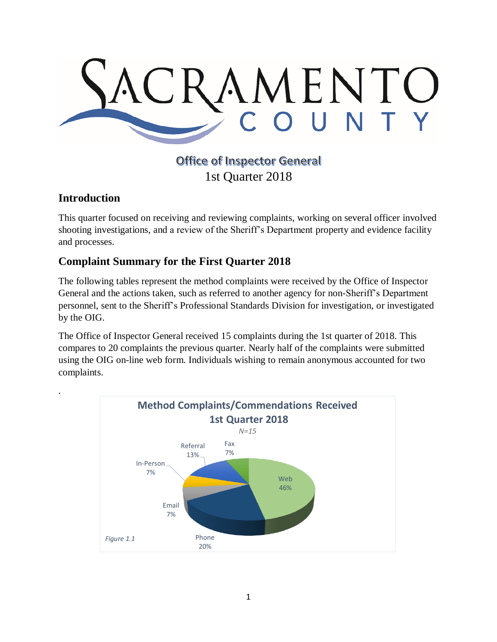

## **Office of Inspector General** 1st Quarter 2018

## **Introduction**

.

This quarter focused on receiving and reviewing complaints, working on several officer involved shooting investigations, and a review of the Sheriff's Department property and evidence facility and processes.

## **Complaint Summary for the First Quarter 2018**

The following tables represent the method complaints were received by the Office of Inspector General and the actions taken, such as referred to another agency for non-Sheriff's Department personnel, sent to the Sheriff's Professional Standards Division for investigation, or investigated by the OIG.

The Office of Inspector General received 15 complaints during the 1st quarter of 2018. This compares to 20 complaints the previous quarter. Nearly half of the complaints were submitted using the OIG on-line web form. Individuals wishing to remain anonymous accounted for two complaints.